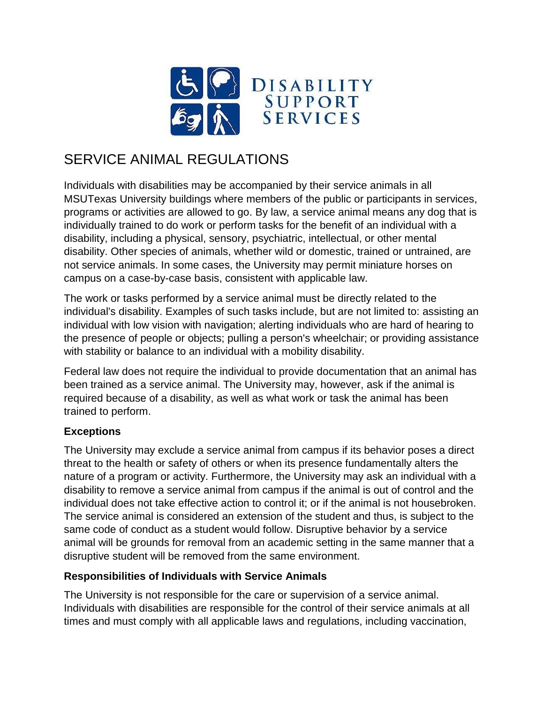

## SERVICE ANIMAL REGULATIONS

Individuals with disabilities may be accompanied by their service animals in all MSUTexas University buildings where members of the public or participants in services, programs or activities are allowed to go. By law, a service animal means any dog that is individually trained to do work or perform tasks for the benefit of an individual with a disability, including a physical, sensory, psychiatric, intellectual, or other mental disability. Other species of animals, whether wild or domestic, trained or untrained, are not service animals. In some cases, the University may permit miniature horses on campus on a case-by-case basis, consistent with applicable law.

The work or tasks performed by a service animal must be directly related to the individual's disability. Examples of such tasks include, but are not limited to: assisting an individual with low vision with navigation; alerting individuals who are hard of hearing to the presence of people or objects; pulling a person's wheelchair; or providing assistance with stability or balance to an individual with a mobility disability.

Federal law does not require the individual to provide documentation that an animal has been trained as a service animal. The University may, however, ask if the animal is required because of a disability, as well as what work or task the animal has been trained to perform.

## **Exceptions**

The University may exclude a service animal from campus if its behavior poses a direct threat to the health or safety of others or when its presence fundamentally alters the nature of a program or activity. Furthermore, the University may ask an individual with a disability to remove a service animal from campus if the animal is out of control and the individual does not take effective action to control it; or if the animal is not housebroken. The service animal is considered an extension of the student and thus, is subject to the same code of conduct as a student would follow. Disruptive behavior by a service animal will be grounds for removal from an academic setting in the same manner that a disruptive student will be removed from the same environment.

## **Responsibilities of Individuals with Service Animals**

The University is not responsible for the care or supervision of a service animal. Individuals with disabilities are responsible for the control of their service animals at all times and must comply with all applicable laws and regulations, including vaccination,